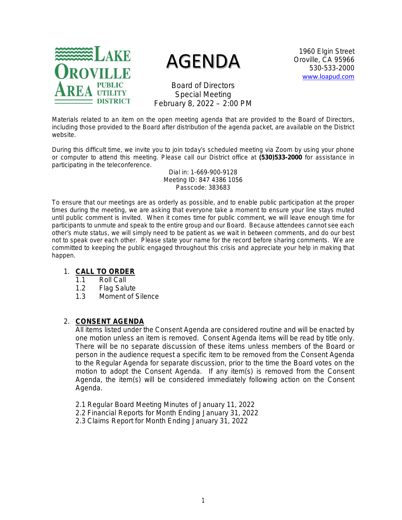

# AGENDA

1960 Elgin Street Oroville, CA 95966 530-533-2000 [www.loapud.com](http://www.loapud.com/)

Board of Directors Special Meeting February 8, 2022 – 2:00 PM

Materials related to an item on the open meeting agenda that are provided to the Board of Directors, including those provided to the Board after distribution of the agenda packet, are available on the District website.

During this difficult time, we invite you to join today's scheduled meeting via Zoom by using your phone or computer to attend this meeting. Please call our District office at **(530)533-2000** for assistance in participating in the teleconference.

> Dial in: 1-669-900-9128 Meeting ID: 847 4386 1056 Passcode: 383683

To ensure that our meetings are as orderly as possible, and to enable public participation at the proper times during the meeting, we are asking that everyone take a moment to ensure your line stays muted until public comment is invited. When it comes time for public comment, we will leave enough time for participants to unmute and speak to the entire group and our Board. Because attendees cannot see each other's mute status, we will simply need to be patient as we wait in between comments, and do our best not to speak over each other. Please state your name for the record before sharing comments. We are committed to keeping the public engaged throughout this crisis and appreciate your help in making that happen.

# 1. **CALL TO ORDER**

- 1.1 Roll Call
- 1.2 Flag Salute
- 1.3 Moment of Silence

# 2. **CONSENT AGENDA**

All items listed under the Consent Agenda are considered routine and will be enacted by one motion unless an item is removed. Consent Agenda items will be read by title only. There will be no separate discussion of these items unless members of the Board or person in the audience request a specific item to be removed from the Consent Agenda to the Regular Agenda for separate discussion, prior to the time the Board votes on the motion to adopt the Consent Agenda. If any item(s) is removed from the Consent Agenda, the item(s) will be considered immediately following action on the Consent Agenda.

- 2.1 Regular Board Meeting Minutes of January 11, 2022
- 2.2 Financial Reports for Month Ending January 31, 2022
- 2.3 Claims Report for Month Ending January 31, 2022